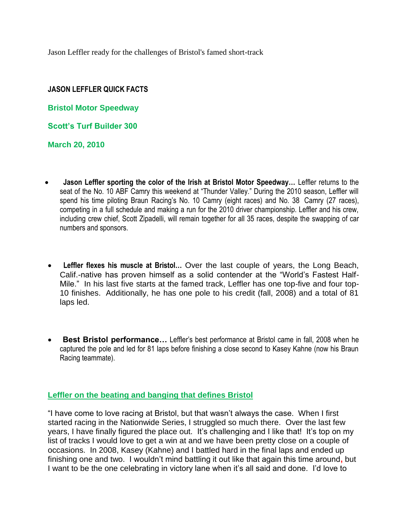Jason Leffler ready for the challenges of Bristol's famed short-track

# **JASON LEFFLER QUICK FACTS**

**Bristol Motor Speedway**

**Scott's Turf Builder 300**

**March 20, 2010**

- **Jason Leffler sporting the color of the Irish at Bristol Motor Speedway…** Leffler returns to the seat of the No. 10 ABF Camry this weekend at "Thunder Valley." During the 2010 season, Leffler will spend his time piloting Braun Racing's No. 10 Camry (eight races) and No. 38 Camry (27 races), competing in a full schedule and making a run for the 2010 driver championship. Leffler and his crew, including crew chief, Scott Zipadelli, will remain together for all 35 races, despite the swapping of car numbers and sponsors.
- **Leffler flexes his muscle at Bristol…** Over the last couple of years, the Long Beach, Calif.-native has proven himself as a solid contender at the "World's Fastest Half-Mile." In his last five starts at the famed track, Leffler has one top-five and four top-10 finishes. Additionally, he has one pole to his credit (fall, 2008) and a total of 81 laps led.
- **Best Bristol performance…** Leffler's best performance at Bristol came in fall, 2008 when he captured the pole and led for 81 laps before finishing a close second to Kasey Kahne (now his Braun Racing teammate).

## **Leffler on the beating and banging that defines Bristol**

"I have come to love racing at Bristol, but that wasn't always the case. When I first started racing in the Nationwide Series, I struggled so much there. Over the last few years, I have finally figured the place out. It's challenging and I like that! It's top on my list of tracks I would love to get a win at and we have been pretty close on a couple of occasions. In 2008, Kasey (Kahne) and I battled hard in the final laps and ended up finishing one and two. I wouldn't mind battling it out like that again this time around**,** but I want to be the one celebrating in victory lane when it's all said and done. I'd love to